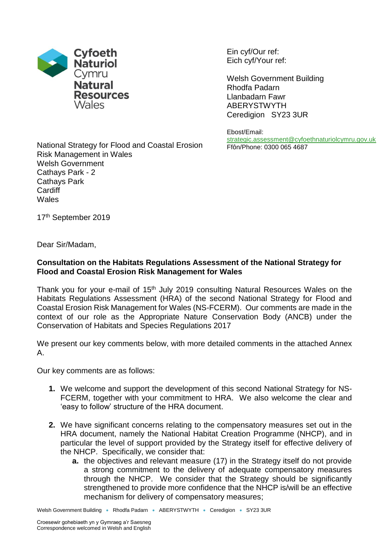

Ein cyf/Our ref: Eich cyf/Your ref:

Welsh Government Building Rhodfa Padarn Llanbadarn Fawr ABERYSTWYTH Ceredigion SY23 3UR

Ebost/Email: [strategic.assessment@cyfoethnaturiolcymru.gov.uk](mailto:strategic.assessment@cyfoethnaturiolcymru.gov.uk) Ffôn/Phone: 0300 065 4687

National Strategy for Flood and Coastal Erosion Risk Management in Wales Welsh Government Cathays Park - 2 Cathays Park **Cardiff Wales** 

17<sup>th</sup> September 2019

Dear Sir/Madam,

## **Consultation on the Habitats Regulations Assessment of the National Strategy for Flood and Coastal Erosion Risk Management for Wales**

Thank you for your e-mail of 15<sup>th</sup> July 2019 consulting Natural Resources Wales on the Habitats Regulations Assessment (HRA) of the second National Strategy for Flood and Coastal Erosion Risk Management for Wales (NS-FCERM). Our comments are made in the context of our role as the Appropriate Nature Conservation Body (ANCB) under the Conservation of Habitats and Species Regulations 2017

We present our key comments below, with more detailed comments in the attached Annex A.

Our key comments are as follows:

- **1.** We welcome and support the development of this second National Strategy for NS-FCERM, together with your commitment to HRA. We also welcome the clear and 'easy to follow' structure of the HRA document.
- **2.** We have significant concerns relating to the compensatory measures set out in the HRA document, namely the National Habitat Creation Programme (NHCP), and in particular the level of support provided by the Strategy itself for effective delivery of the NHCP. Specifically, we consider that:
	- **a.** the objectives and relevant measure (17) in the Strategy itself do not provide a strong commitment to the delivery of adequate compensatory measures through the NHCP. We consider that the Strategy should be significantly strengthened to provide more confidence that the NHCP is/will be an effective mechanism for delivery of compensatory measures;

Welsh Government Building • Rhodfa Padarn • ABERYSTWYTH • Ceredigion • SY23 3UR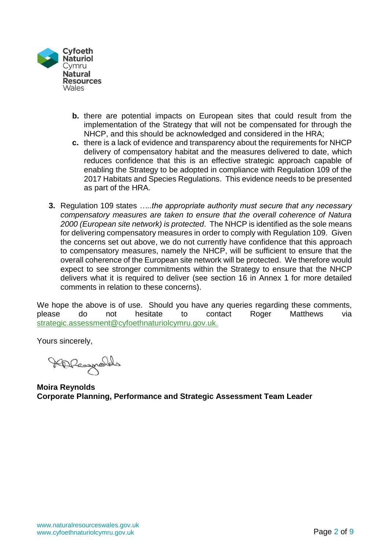

- **b.** there are potential impacts on European sites that could result from the implementation of the Strategy that will not be compensated for through the NHCP, and this should be acknowledged and considered in the HRA;
- **c.** there is a lack of evidence and transparency about the requirements for NHCP delivery of compensatory habitat and the measures delivered to date, which reduces confidence that this is an effective strategic approach capable of enabling the Strategy to be adopted in compliance with Regulation 109 of the 2017 Habitats and Species Regulations. This evidence needs to be presented as part of the HRA.
- **3.** Regulation 109 states *…..the appropriate authority must secure that any necessary compensatory measures are taken to ensure that the overall coherence of Natura 2000 (European site network) is protected*. The NHCP is identified as the sole means for delivering compensatory measures in order to comply with Regulation 109. Given the concerns set out above, we do not currently have confidence that this approach to compensatory measures, namely the NHCP, will be sufficient to ensure that the overall coherence of the European site network will be protected. We therefore would expect to see stronger commitments within the Strategy to ensure that the NHCP delivers what it is required to deliver (see section 16 in Annex 1 for more detailed comments in relation to these concerns).

We hope the above is of use. Should you have any queries regarding these comments, please do not hesitate to contact Roger Matthews via [strategic.assessment@cyfoethnaturiolcymru.gov.uk.](mailto:strategic.assessment@cyfoethnaturiolcymru.gov.uk)

Yours sincerely,

HDRespolds

**Moira Reynolds Corporate Planning, Performance and Strategic Assessment Team Leader**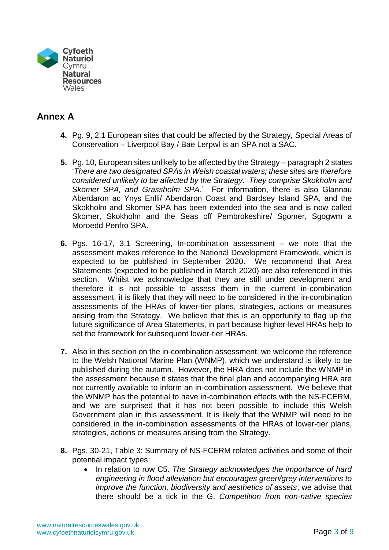

## **Annex A**

- **4.** Pg. 9, 2.1 European sites that could be affected by the Strategy, Special Areas of Conservation – Liverpool Bay / Bae Lerpwl is an SPA not a SAC.
- **5.** Pg. 10, European sites unlikely to be affected by the Strategy paragraph 2 states '*There are two designated SPAs in Welsh coastal waters; these sites are therefore considered unlikely to be affected by the Strategy. They comprise Skokholm and Skomer SPA, and Grassholm SPA*.' For information, there is also Glannau Aberdaron ac Ynys Enlli/ Aberdaron Coast and Bardsey Island SPA, and the Skokholm and Skomer SPA has been extended into the sea and is now called Skomer, Skokholm and the Seas off Pembrokeshire/ Sgomer, Sgogwm a Moroedd Penfro SPA.
- **6.** Pgs. 16-17, 3.1 Screening, In-combination assessment we note that the assessment makes reference to the National Development Framework, which is expected to be published in September 2020. We recommend that Area Statements (expected to be published in March 2020) are also referenced in this section. Whilst we acknowledge that they are still under development and therefore it is not possible to assess them in the current in-combination assessment, it is likely that they will need to be considered in the in-combination assessments of the HRAs of lower-tier plans, strategies, actions or measures arising from the Strategy. We believe that this is an opportunity to flag up the future significance of Area Statements, in part because higher-level HRAs help to set the framework for subsequent lower-tier HRAs.
- **7.** Also in this section on the in-combination assessment, we welcome the reference to the Welsh National Marine Plan (WNMP), which we understand is likely to be published during the autumn. However, the HRA does not include the WNMP in the assessment because it states that the final plan and accompanying HRA are not currently available to inform an in-combination assessment. We believe that the WNMP has the potential to have in-combination effects with the NS-FCERM, and we are surprised that it has not been possible to include this Welsh Government plan in this assessment. It is likely that the WNMP will need to be considered in the in-combination assessments of the HRAs of lower-tier plans, strategies, actions or measures arising from the Strategy.
- **8.** Pgs. 30-21, Table 3: Summary of NS-FCERM related activities and some of their potential impact types:
	- In relation to row C5. *The Strategy acknowledges the importance of hard engineering in flood alleviation but encourages green/grey interventions to improve the function, biodiversity and aesthetics of assets*, we advise that there should be a tick in the G. *Competition from non-native species*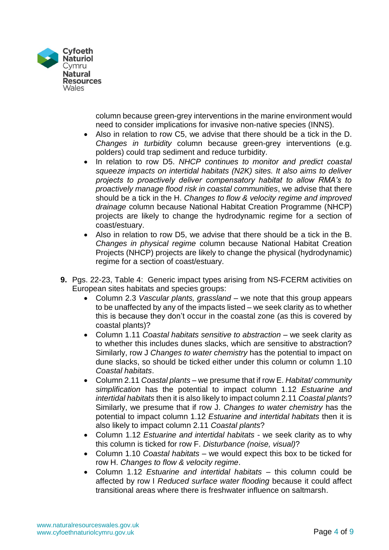

column because green-grey interventions in the marine environment would need to consider implications for invasive non-native species (INNS).

- Also in relation to row C5, we advise that there should be a tick in the D. *Changes in turbidity* column because green-grey interventions (e.g. polders) could trap sediment and reduce turbidity.
- In relation to row D5. *NHCP continues to monitor and predict coastal squeeze impacts on intertidal habitats (N2K) sites. It also aims to deliver projects to proactively deliver compensatory habitat to allow RMA's to proactively manage flood risk in coastal communities*, we advise that there should be a tick in the H. *Changes to flow & velocity regime and improved drainage* column because National Habitat Creation Programme (NHCP) projects are likely to change the hydrodynamic regime for a section of coast/estuary.
- Also in relation to row D5, we advise that there should be a tick in the B. *Changes in physical regime* column because National Habitat Creation Projects (NHCP) projects are likely to change the physical (hydrodynamic) regime for a section of coast/estuary.
- **9.** Pgs. 22-23, Table 4: Generic impact types arising from NS-FCERM activities on European sites habitats and species groups:
	- Column 2.3 *Vascular plants, grassland* we note that this group appears to be unaffected by any of the impacts listed – we seek clarity as to whether this is because they don't occur in the coastal zone (as this is covered by coastal plants)?
	- Column 1.11 *Coastal habitats sensitive to abstraction* we seek clarity as to whether this includes dunes slacks, which are sensitive to abstraction? Similarly, row J *Changes to water chemistry* has the potential to impact on dune slacks, so should be ticked either under this column or column 1.10 *Coastal habitats*.
	- Column 2.11 *Coastal plants* we presume that if row E. *Habitat/ community simplification* has the potential to impact column 1.12 *Estuarine and intertidal habitats* then it is also likely to impact column 2.11 *Coastal plants*? Similarly, we presume that if row J. *Changes to water chemistry* has the potential to impact column 1.12 *Estuarine and intertidal habitats* then it is also likely to impact column 2.11 *Coastal plants*?
	- Column 1.12 *Estuarine and intertidal habitats* we seek clarity as to why this column is ticked for row F. *Disturbance (noise, visual)*?
	- Column 1.10 *Coastal habitats* we would expect this box to be ticked for row H. *Changes to flow & velocity regime*.
	- Column 1.12 *Estuarine and intertidal habitats* this column could be affected by row I *Reduced surface water flooding* because it could affect transitional areas where there is freshwater influence on saltmarsh.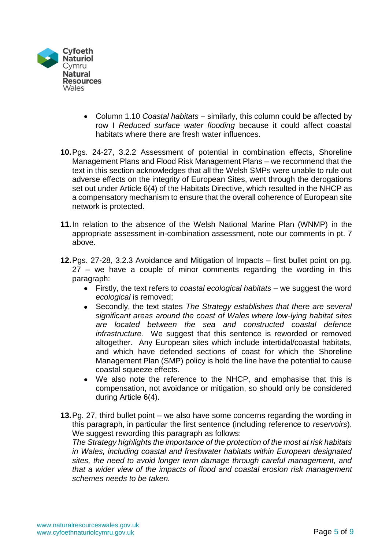

- Column 1.10 *Coastal habitats* similarly, this column could be affected by row I *Reduced surface water flooding* because it could affect coastal habitats where there are fresh water influences.
- **10.**Pgs. 24-27, 3.2.2 Assessment of potential in combination effects, Shoreline Management Plans and Flood Risk Management Plans – we recommend that the text in this section acknowledges that all the Welsh SMPs were unable to rule out adverse effects on the integrity of European Sites, went through the derogations set out under Article 6(4) of the Habitats Directive, which resulted in the NHCP as a compensatory mechanism to ensure that the overall coherence of European site network is protected.
- **11.**In relation to the absence of the Welsh National Marine Plan (WNMP) in the appropriate assessment in-combination assessment, note our comments in pt. 7 above.
- **12.**Pgs. 27-28, 3.2.3 Avoidance and Mitigation of Impacts first bullet point on pg. 27 – we have a couple of minor comments regarding the wording in this paragraph:
	- Firstly, the text refers to *coastal ecological habitats* we suggest the word *ecological* is removed;
	- Secondly, the text states *The Strategy establishes that there are several significant areas around the coast of Wales where low-lying habitat sites are located between the sea and constructed coastal defence infrastructure.* We suggest that this sentence is reworded or removed altogether. Any European sites which include intertidal/coastal habitats, and which have defended sections of coast for which the Shoreline Management Plan (SMP) policy is hold the line have the potential to cause coastal squeeze effects.
	- We also note the reference to the NHCP, and emphasise that this is compensation, not avoidance or mitigation, so should only be considered during Article 6(4).
- **13.**Pg. 27, third bullet point we also have some concerns regarding the wording in this paragraph, in particular the first sentence (including reference to *reservoirs*). We suggest rewording this paragraph as follows:

*The Strategy highlights the importance of the protection of the most at risk habitats in Wales, including coastal and freshwater habitats within European designated sites, the need to avoid longer term damage through careful management, and that a wider view of the impacts of flood and coastal erosion risk management schemes needs to be taken.*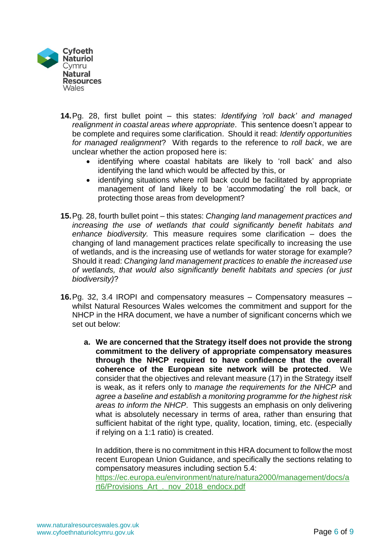

- **14.**Pg. 28, first bullet point this states: *Identifying 'roll back' and managed realignment in coastal areas where appropriate*. This sentence doesn't appear to be complete and requires some clarification. Should it read: *Identify opportunities for managed realignment*? With regards to the reference to *roll back*, we are unclear whether the action proposed here is:
	- identifying where coastal habitats are likely to 'roll back' and also identifying the land which would be affected by this, or
	- identifying situations where roll back could be facilitated by appropriate management of land likely to be 'accommodating' the roll back, or protecting those areas from development?
- **15.**Pg. 28, fourth bullet point this states: *Changing land management practices and increasing the use of wetlands that could significantly benefit habitats and enhance biodiversity.* This measure requires some clarification – does the changing of land management practices relate specifically to increasing the use of wetlands, and is the increasing use of wetlands for water storage for example? Should it read: *Changing land management practices to enable the increased use of wetlands, that would also significantly benefit habitats and species (or just biodiversity)*?
- **16.**Pg. 32, 3.4 IROPI and compensatory measures Compensatory measures whilst Natural Resources Wales welcomes the commitment and support for the NHCP in the HRA document, we have a number of significant concerns which we set out below:
	- **a. We are concerned that the Strategy itself does not provide the strong commitment to the delivery of appropriate compensatory measures through the NHCP required to have confidence that the overall coherence of the European site network will be protected**. We consider that the objectives and relevant measure (17) in the Strategy itself is weak, as it refers only to *manage the requirements for the NHCP* and *agree a baseline and establish a monitoring programme for the highest risk areas to inform the NHCP*. This suggests an emphasis on only delivering what is absolutely necessary in terms of area, rather than ensuring that sufficient habitat of the right type, quality, location, timing, etc. (especially if relying on a 1:1 ratio) is created.

In addition, there is no commitment in this HRA document to follow the most recent European Union Guidance, and specifically the sections relating to compensatory measures including section 5.4: [https://ec.europa.eu/environment/nature/natura2000/management/docs/a](https://ec.europa.eu/environment/nature/natura2000/management/docs/art6/Provisions_Art_._nov_2018_endocx.pdf) [rt6/Provisions\\_Art\\_.\\_nov\\_2018\\_endocx.pdf](https://ec.europa.eu/environment/nature/natura2000/management/docs/art6/Provisions_Art_._nov_2018_endocx.pdf)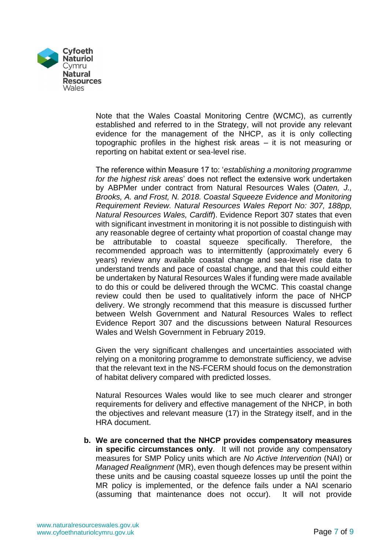

Note that the Wales Coastal Monitoring Centre (WCMC), as currently established and referred to in the Strategy, will not provide any relevant evidence for the management of the NHCP, as it is only collecting topographic profiles in the highest risk areas – it is not measuring or reporting on habitat extent or sea-level rise.

The reference within Measure 17 to: '*establishing a monitoring programme for the highest risk areas*' does not reflect the extensive work undertaken by ABPMer under contract from Natural Resources Wales (*Oaten, J., Brooks, A. and Frost, N. 2018. Coastal Squeeze Evidence and Monitoring Requirement Review. Natural Resources Wales Report No: 307, 188pp, Natural Resources Wales, Cardiff*). Evidence Report 307 states that even with significant investment in monitoring it is not possible to distinguish with any reasonable degree of certainty what proportion of coastal change may be attributable to coastal squeeze specifically. Therefore, the recommended approach was to intermittently (approximately every 6 years) review any available coastal change and sea-level rise data to understand trends and pace of coastal change, and that this could either be undertaken by Natural Resources Wales if funding were made available to do this or could be delivered through the WCMC. This coastal change review could then be used to qualitatively inform the pace of NHCP delivery. We strongly recommend that this measure is discussed further between Welsh Government and Natural Resources Wales to reflect Evidence Report 307 and the discussions between Natural Resources Wales and Welsh Government in February 2019.

Given the very significant challenges and uncertainties associated with relying on a monitoring programme to demonstrate sufficiency, we advise that the relevant text in the NS-FCERM should focus on the demonstration of habitat delivery compared with predicted losses.

Natural Resources Wales would like to see much clearer and stronger requirements for delivery and effective management of the NHCP, in both the objectives and relevant measure (17) in the Strategy itself, and in the HRA document.

**b. We are concerned that the NHCP provides compensatory measures in specific circumstances only**. It will not provide any compensatory measures for SMP Policy units which are *No Active Intervention* (NAI) or *Managed Realignment* (MR), even though defences may be present within these units and be causing coastal squeeze losses up until the point the MR policy is implemented, or the defence fails under a NAI scenario (assuming that maintenance does not occur). It will not provide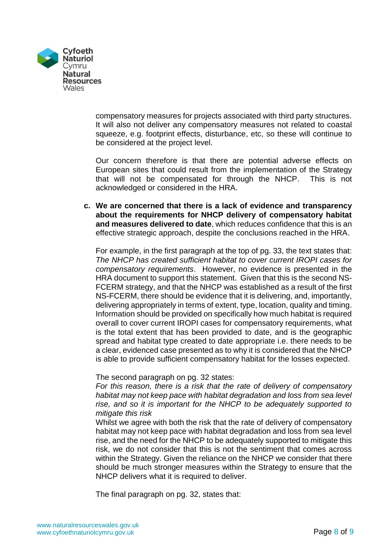

compensatory measures for projects associated with third party structures. It will also not deliver any compensatory measures not related to coastal squeeze, e.g. footprint effects, disturbance, etc, so these will continue to be considered at the project level.

Our concern therefore is that there are potential adverse effects on European sites that could result from the implementation of the Strategy that will not be compensated for through the NHCP. This is not acknowledged or considered in the HRA.

**c. We are concerned that there is a lack of evidence and transparency about the requirements for NHCP delivery of compensatory habitat and measures delivered to date**, which reduces confidence that this is an effective strategic approach, despite the conclusions reached in the HRA.

For example, in the first paragraph at the top of pg. 33, the text states that: *The NHCP has created sufficient habitat to cover current IROPI cases for compensatory requirements*. However, no evidence is presented in the HRA document to support this statement. Given that this is the second NS-FCERM strategy, and that the NHCP was established as a result of the first NS-FCERM, there should be evidence that it is delivering, and, importantly, delivering appropriately in terms of extent, type, location, quality and timing. Information should be provided on specifically how much habitat is required overall to cover current IROPI cases for compensatory requirements, what is the total extent that has been provided to date, and is the geographic spread and habitat type created to date appropriate i.e. there needs to be a clear, evidenced case presented as to why it is considered that the NHCP is able to provide sufficient compensatory habitat for the losses expected.

The second paragraph on pg. 32 states:

*For this reason, there is a risk that the rate of delivery of compensatory habitat may not keep pace with habitat degradation and loss from sea level rise, and so it is important for the NHCP to be adequately supported to mitigate this risk*

Whilst we agree with both the risk that the rate of delivery of compensatory habitat may not keep pace with habitat degradation and loss from sea level rise, and the need for the NHCP to be adequately supported to mitigate this risk, we do not consider that this is not the sentiment that comes across within the Strategy. Given the reliance on the NHCP we consider that there should be much stronger measures within the Strategy to ensure that the NHCP delivers what it is required to deliver.

The final paragraph on pg. 32, states that: